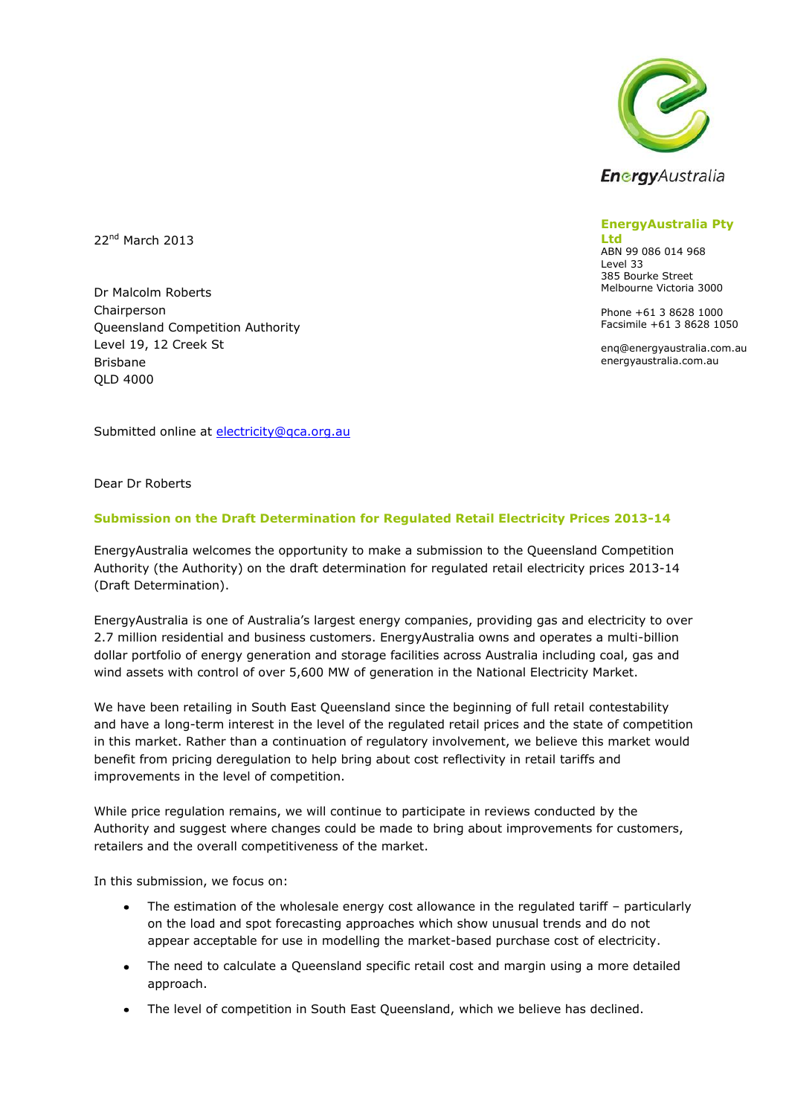

**EnergyAustralia Pty** 

**Ltd** ABN 99 086 014 968 Level 33 385 Bourke Street Melbourne Victoria 3000

Phone +61 3 8628 1000 Facsimile +61 3 8628 1050

enq@energyaustralia.com.au energyaustralia.com.au

22<sup>nd</sup> March 2013

Dr Malcolm Roberts Chairperson Queensland Competition Authority Level 19, 12 Creek St Brisbane QLD 4000

Submitted online at [electricity@qca.org.au](mailto:electricity@qca.org.au)

Dear Dr Roberts

### **Submission on the Draft Determination for Regulated Retail Electricity Prices 2013-14**

EnergyAustralia welcomes the opportunity to make a submission to the Queensland Competition Authority (the Authority) on the draft determination for regulated retail electricity prices 2013-14 (Draft Determination).

EnergyAustralia is one of Australia's largest energy companies, providing gas and electricity to over 2.7 million residential and business customers. EnergyAustralia owns and operates a multi-billion dollar portfolio of energy generation and storage facilities across Australia including coal, gas and wind assets with control of over 5,600 MW of generation in the National Electricity Market.

We have been retailing in South East Queensland since the beginning of full retail contestability and have a long-term interest in the level of the regulated retail prices and the state of competition in this market. Rather than a continuation of regulatory involvement, we believe this market would benefit from pricing deregulation to help bring about cost reflectivity in retail tariffs and improvements in the level of competition.

While price regulation remains, we will continue to participate in reviews conducted by the Authority and suggest where changes could be made to bring about improvements for customers, retailers and the overall competitiveness of the market.

In this submission, we focus on:

- The estimation of the wholesale energy cost allowance in the regulated tariff particularly on the load and spot forecasting approaches which show unusual trends and do not appear acceptable for use in modelling the market-based purchase cost of electricity.
- The need to calculate a Queensland specific retail cost and margin using a more detailed approach.
- The level of competition in South East Queensland, which we believe has declined.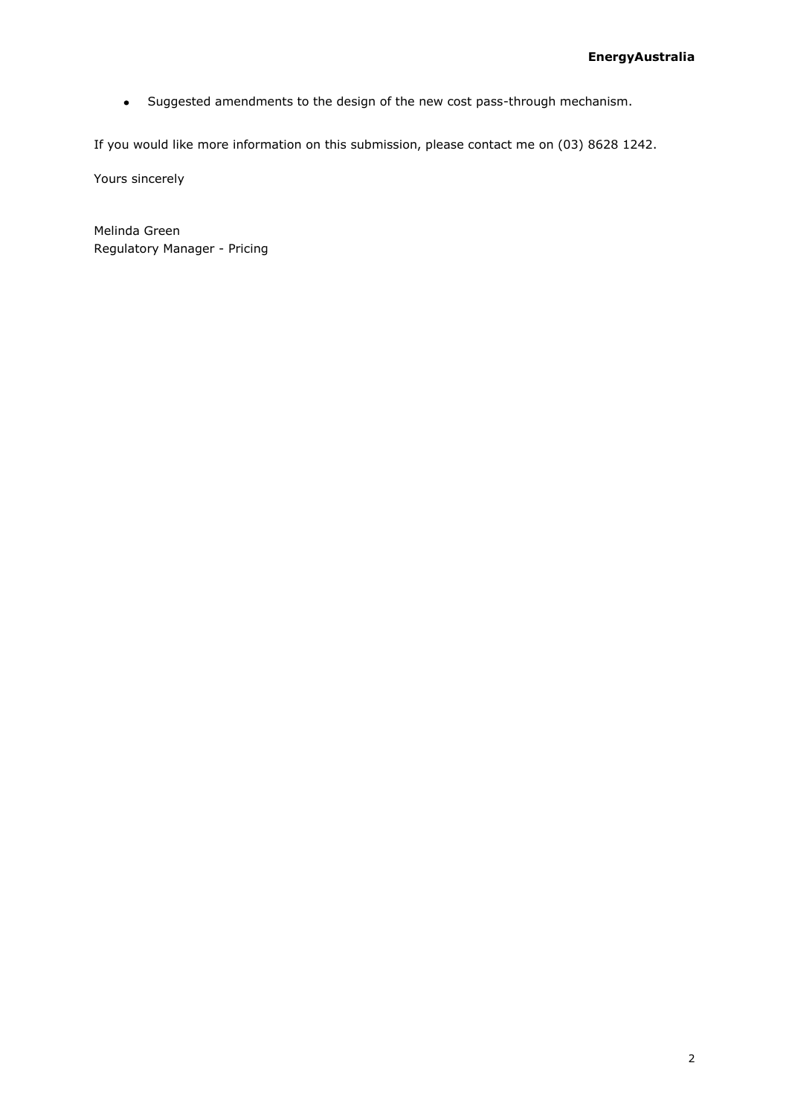Suggested amendments to the design of the new cost pass-through mechanism.  $\bullet$ 

If you would like more information on this submission, please contact me on (03) 8628 1242.

Yours sincerely

Melinda Green Regulatory Manager - Pricing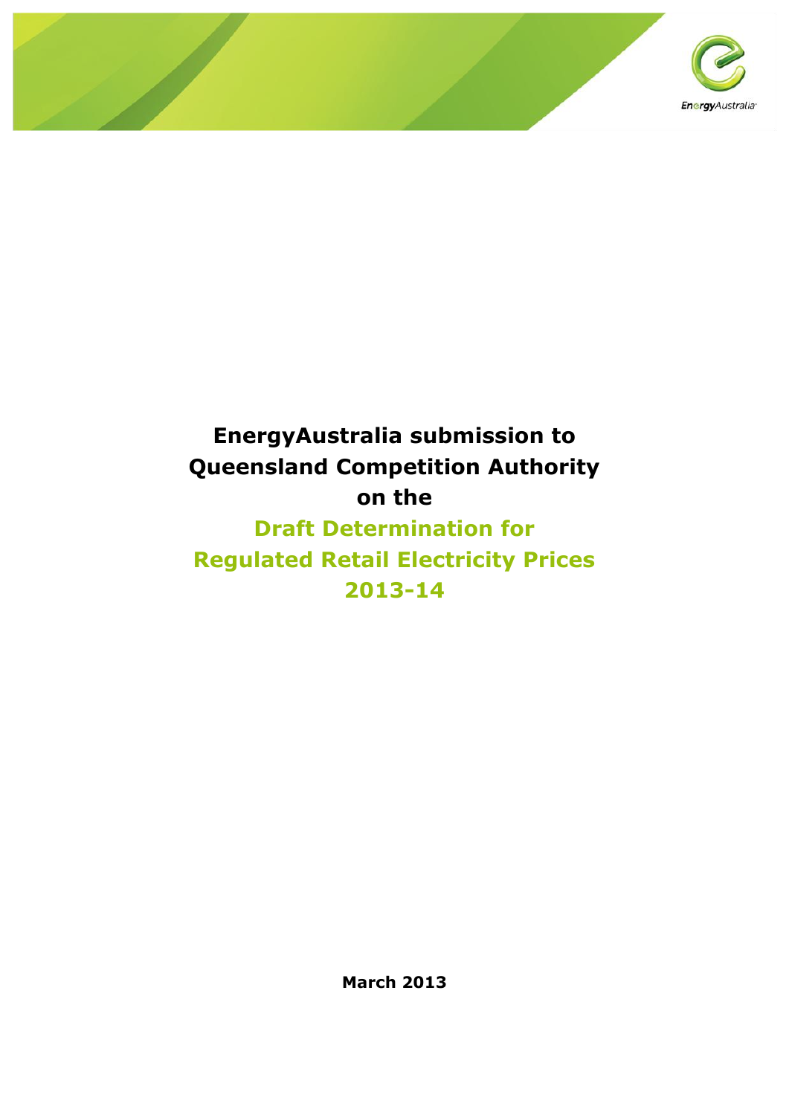

# **EnergyAustralia submission to Queensland Competition Authority on the**

# **Draft Determination for Regulated Retail Electricity Prices 2013-14**

**March 2013**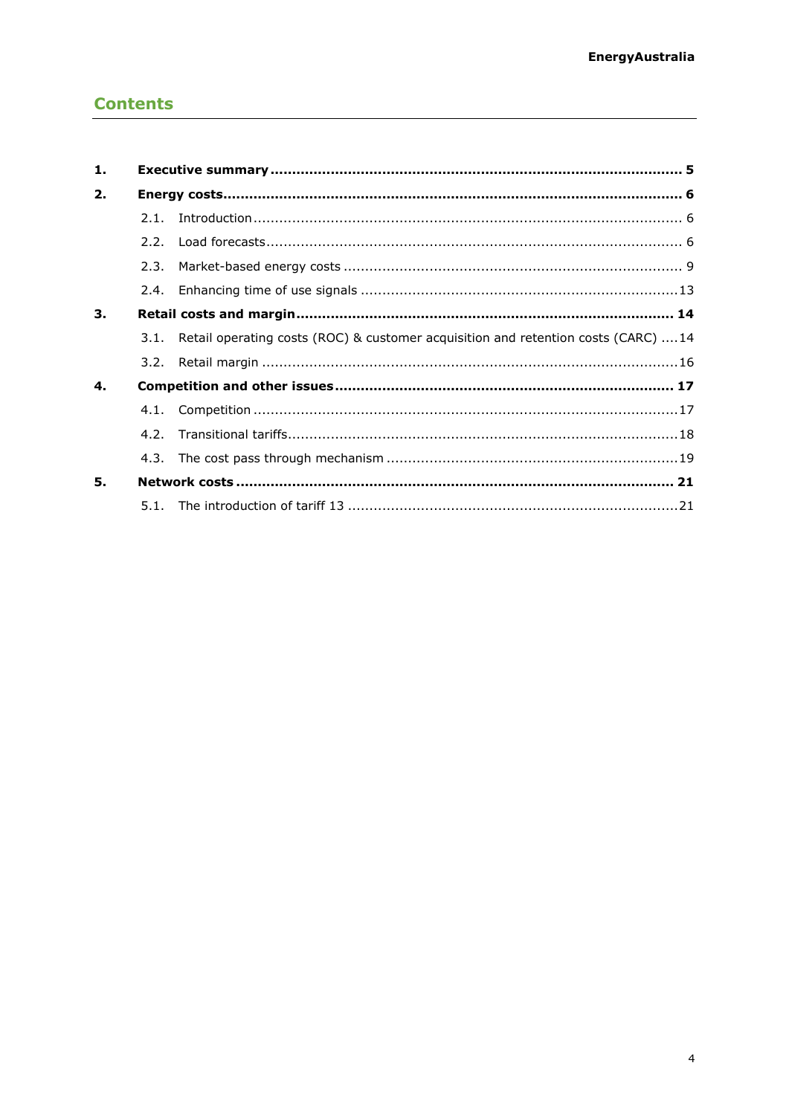# **Contents**

| 1. |      |                                                                                         |  |  |  |  |
|----|------|-----------------------------------------------------------------------------------------|--|--|--|--|
| 2. |      |                                                                                         |  |  |  |  |
|    | 2.1. |                                                                                         |  |  |  |  |
|    | 2.2. |                                                                                         |  |  |  |  |
|    | 2.3. |                                                                                         |  |  |  |  |
|    | 2.4. |                                                                                         |  |  |  |  |
| 3. |      |                                                                                         |  |  |  |  |
|    |      | 3.1. Retail operating costs (ROC) & customer acquisition and retention costs (CARC)  14 |  |  |  |  |
|    |      |                                                                                         |  |  |  |  |
| 4. |      |                                                                                         |  |  |  |  |
|    |      |                                                                                         |  |  |  |  |
|    |      |                                                                                         |  |  |  |  |
|    | 4.3. |                                                                                         |  |  |  |  |
| 5. |      |                                                                                         |  |  |  |  |
|    |      |                                                                                         |  |  |  |  |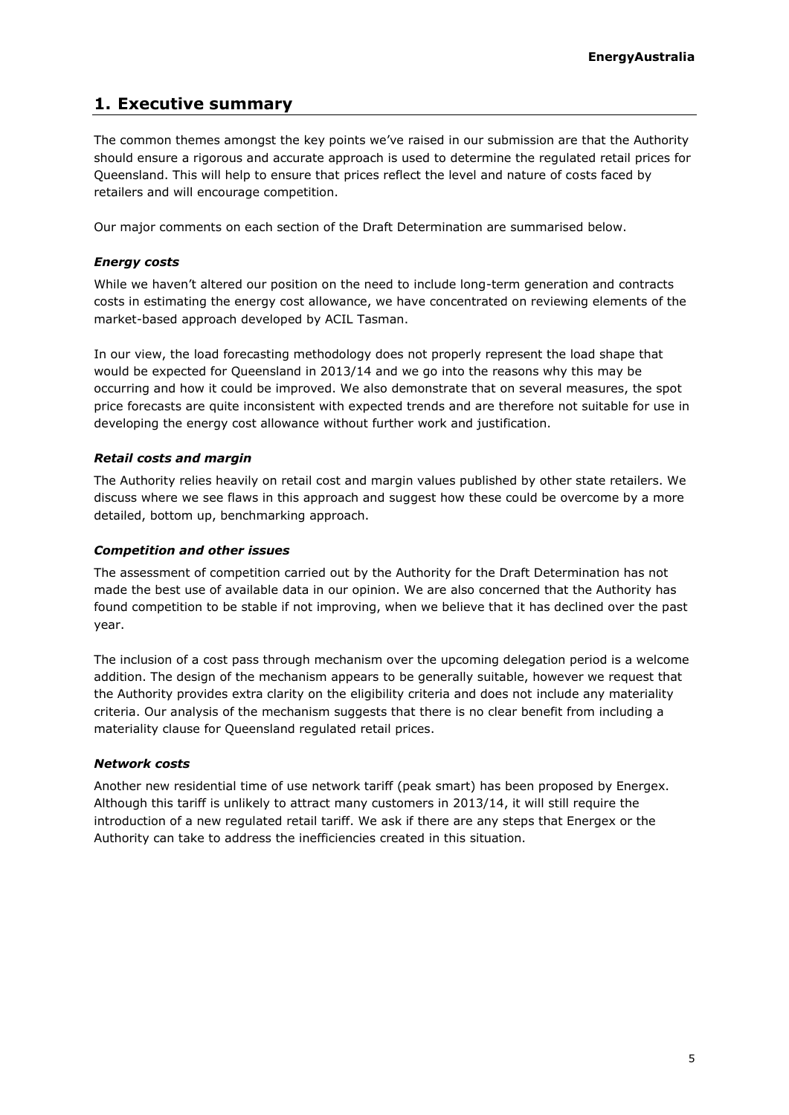# <span id="page-4-0"></span>**1. Executive summary**

The common themes amongst the key points we've raised in our submission are that the Authority should ensure a rigorous and accurate approach is used to determine the regulated retail prices for Queensland. This will help to ensure that prices reflect the level and nature of costs faced by retailers and will encourage competition.

Our major comments on each section of the Draft Determination are summarised below.

### *Energy costs*

While we haven't altered our position on the need to include long-term generation and contracts costs in estimating the energy cost allowance, we have concentrated on reviewing elements of the market-based approach developed by ACIL Tasman.

In our view, the load forecasting methodology does not properly represent the load shape that would be expected for Queensland in 2013/14 and we go into the reasons why this may be occurring and how it could be improved. We also demonstrate that on several measures, the spot price forecasts are quite inconsistent with expected trends and are therefore not suitable for use in developing the energy cost allowance without further work and justification.

# *Retail costs and margin*

The Authority relies heavily on retail cost and margin values published by other state retailers. We discuss where we see flaws in this approach and suggest how these could be overcome by a more detailed, bottom up, benchmarking approach.

### *Competition and other issues*

The assessment of competition carried out by the Authority for the Draft Determination has not made the best use of available data in our opinion. We are also concerned that the Authority has found competition to be stable if not improving, when we believe that it has declined over the past year.

The inclusion of a cost pass through mechanism over the upcoming delegation period is a welcome addition. The design of the mechanism appears to be generally suitable, however we request that the Authority provides extra clarity on the eligibility criteria and does not include any materiality criteria. Our analysis of the mechanism suggests that there is no clear benefit from including a materiality clause for Queensland regulated retail prices.

### *Network costs*

Another new residential time of use network tariff (peak smart) has been proposed by Energex. Although this tariff is unlikely to attract many customers in 2013/14, it will still require the introduction of a new regulated retail tariff. We ask if there are any steps that Energex or the Authority can take to address the inefficiencies created in this situation.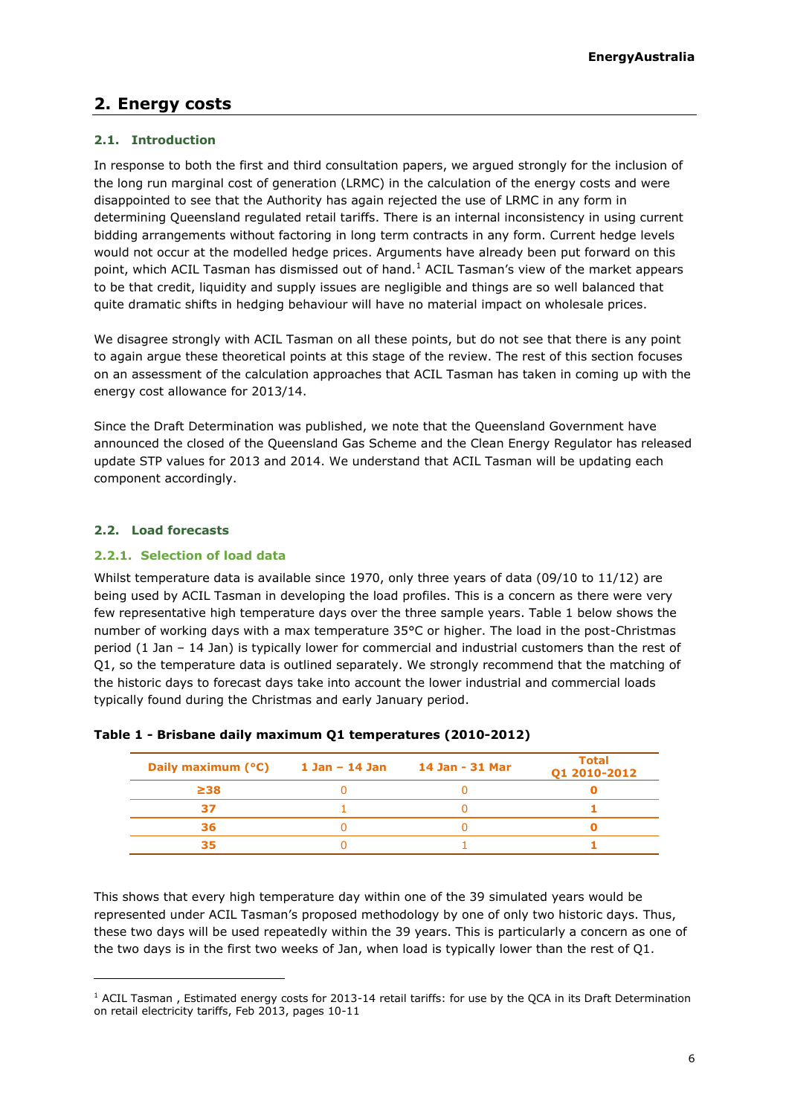# <span id="page-5-0"></span>**2. Energy costs**

# <span id="page-5-1"></span>**2.1. Introduction**

In response to both the first and third consultation papers, we argued strongly for the inclusion of the long run marginal cost of generation (LRMC) in the calculation of the energy costs and were disappointed to see that the Authority has again rejected the use of LRMC in any form in determining Queensland regulated retail tariffs. There is an internal inconsistency in using current bidding arrangements without factoring in long term contracts in any form. Current hedge levels would not occur at the modelled hedge prices. Arguments have already been put forward on this point, which ACIL Tasman has dismissed out of hand. $<sup>1</sup>$  ACIL Tasman's view of the market appears</sup> to be that credit, liquidity and supply issues are negligible and things are so well balanced that quite dramatic shifts in hedging behaviour will have no material impact on wholesale prices.

We disagree strongly with ACIL Tasman on all these points, but do not see that there is any point to again argue these theoretical points at this stage of the review. The rest of this section focuses on an assessment of the calculation approaches that ACIL Tasman has taken in coming up with the energy cost allowance for 2013/14.

Since the Draft Determination was published, we note that the Queensland Government have announced the closed of the Queensland Gas Scheme and the Clean Energy Regulator has released update STP values for 2013 and 2014. We understand that ACIL Tasman will be updating each component accordingly.

# <span id="page-5-2"></span>**2.2. Load forecasts**

ł

### **2.2.1. Selection of load data**

Whilst temperature data is available since 1970, only three years of data (09/10 to 11/12) are being used by ACIL Tasman in developing the load profiles. This is a concern as there were very few representative high temperature days over the three sample years. Table 1 below shows the number of working days with a max temperature 35°C or higher. The load in the post-Christmas period (1 Jan – 14 Jan) is typically lower for commercial and industrial customers than the rest of Q1, so the temperature data is outlined separately. We strongly recommend that the matching of the historic days to forecast days take into account the lower industrial and commercial loads typically found during the Christmas and early January period.

| Daily maximum $(^{\circ}C)$ 1 Jan – 14 Jan | 14 Jan - 31 Mar | <b>Total</b><br>01 2010-2012 |
|--------------------------------------------|-----------------|------------------------------|
| $\geq$ 38                                  |                 |                              |
|                                            |                 |                              |
| 36                                         |                 |                              |
| 35                                         |                 |                              |

### **Table 1 - Brisbane daily maximum Q1 temperatures (2010-2012)**

This shows that every high temperature day within one of the 39 simulated years would be represented under ACIL Tasman's proposed methodology by one of only two historic days. Thus, these two days will be used repeatedly within the 39 years. This is particularly a concern as one of the two days is in the first two weeks of Jan, when load is typically lower than the rest of Q1.

<sup>&</sup>lt;sup>1</sup> ACIL Tasman, Estimated energy costs for 2013-14 retail tariffs: for use by the QCA in its Draft Determination on retail electricity tariffs, Feb 2013, pages 10-11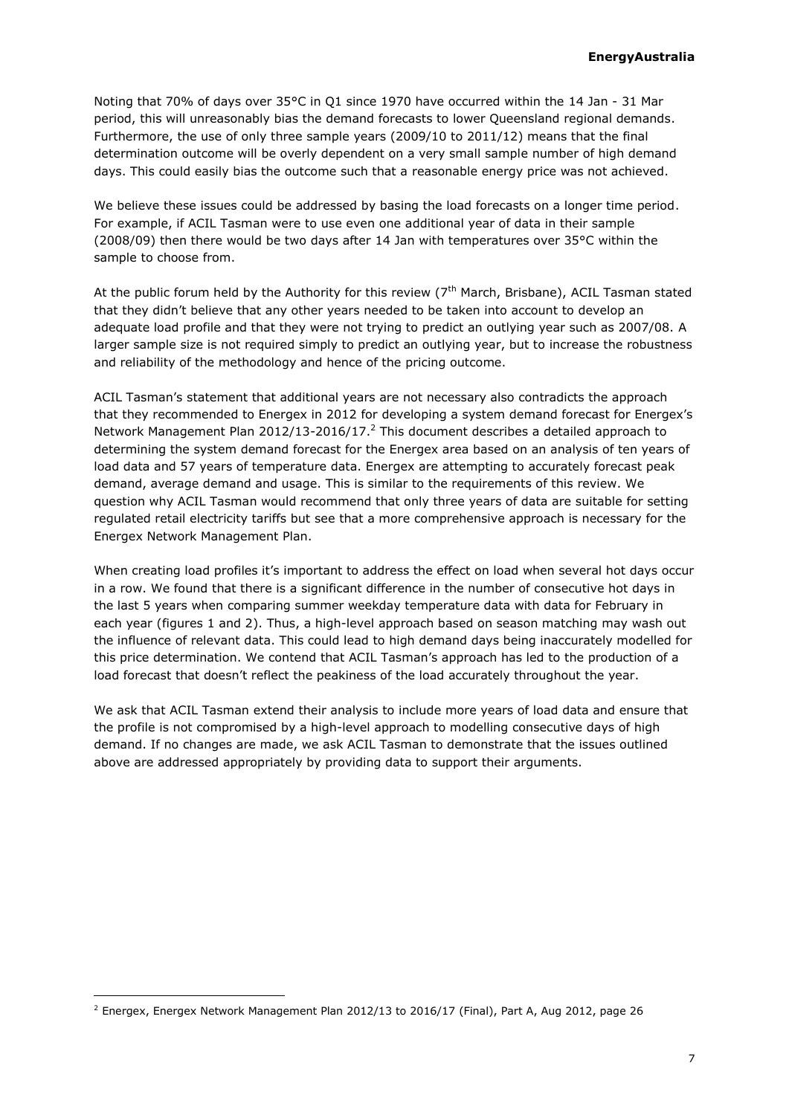Noting that 70% of days over 35°C in Q1 since 1970 have occurred within the 14 Jan - 31 Mar period, this will unreasonably bias the demand forecasts to lower Queensland regional demands. Furthermore, the use of only three sample years (2009/10 to 2011/12) means that the final determination outcome will be overly dependent on a very small sample number of high demand days. This could easily bias the outcome such that a reasonable energy price was not achieved.

We believe these issues could be addressed by basing the load forecasts on a longer time period. For example, if ACIL Tasman were to use even one additional year of data in their sample (2008/09) then there would be two days after 14 Jan with temperatures over 35°C within the sample to choose from.

At the public forum held by the Authority for this review ( $7<sup>th</sup>$  March, Brisbane), ACIL Tasman stated that they didn't believe that any other years needed to be taken into account to develop an adequate load profile and that they were not trying to predict an outlying year such as 2007/08. A larger sample size is not required simply to predict an outlying year, but to increase the robustness and reliability of the methodology and hence of the pricing outcome.

ACIL Tasman's statement that additional years are not necessary also contradicts the approach that they recommended to Energex in 2012 for developing a system demand forecast for Energex's Network Management Plan 2012/13-2016/17.<sup>2</sup> This document describes a detailed approach to determining the system demand forecast for the Energex area based on an analysis of ten years of load data and 57 years of temperature data. Energex are attempting to accurately forecast peak demand, average demand and usage. This is similar to the requirements of this review. We question why ACIL Tasman would recommend that only three years of data are suitable for setting regulated retail electricity tariffs but see that a more comprehensive approach is necessary for the Energex Network Management Plan.

When creating load profiles it's important to address the effect on load when several hot days occur in a row. We found that there is a significant difference in the number of consecutive hot days in the last 5 years when comparing summer weekday temperature data with data for February in each year (figures 1 and 2). Thus, a high-level approach based on season matching may wash out the influence of relevant data. This could lead to high demand days being inaccurately modelled for this price determination. We contend that ACIL Tasman's approach has led to the production of a load forecast that doesn't reflect the peakiness of the load accurately throughout the year.

We ask that ACIL Tasman extend their analysis to include more years of load data and ensure that the profile is not compromised by a high-level approach to modelling consecutive days of high demand. If no changes are made, we ask ACIL Tasman to demonstrate that the issues outlined above are addressed appropriately by providing data to support their arguments.

 $2$  Energex, Energex Network Management Plan 2012/13 to 2016/17 (Final), Part A, Aug 2012, page 26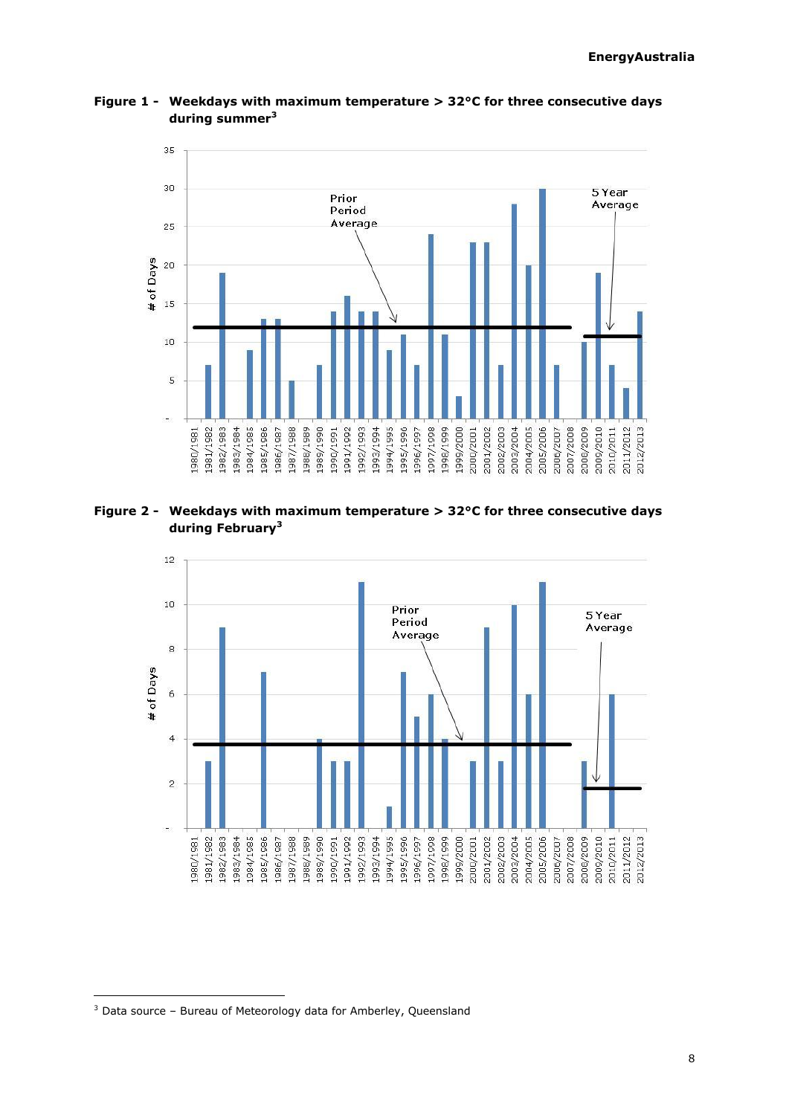<span id="page-7-0"></span>2011/2012 2012/2013

2009/2010 2010/2011

2007/2008 2008/2009



**Figure 1 - Weekdays with maximum temperature > 32°C for three consecutive days during summer<sup>3</sup>**

**Figure 2 - Weekdays with maximum temperature > 32°C for three consecutive days during February[3](#page-7-0)**

1994/1995

1995/1996 1996/1997 1997/1998

1998/1999 1999/2000 2000/2001 2001/2002 2002/2003

2003/2004 2004/2005 2005/2006 2006/2007

1982/1983 -861/6861 1985/1986

1984/1985

1988/1989

0661/6861 1661/0661

1991/1992

1992/1993 1993/1994

8861/1961

1986/1987

1981/1982

1980/1981



 $3$  Data source – Bureau of Meteorology data for Amberley, Queensland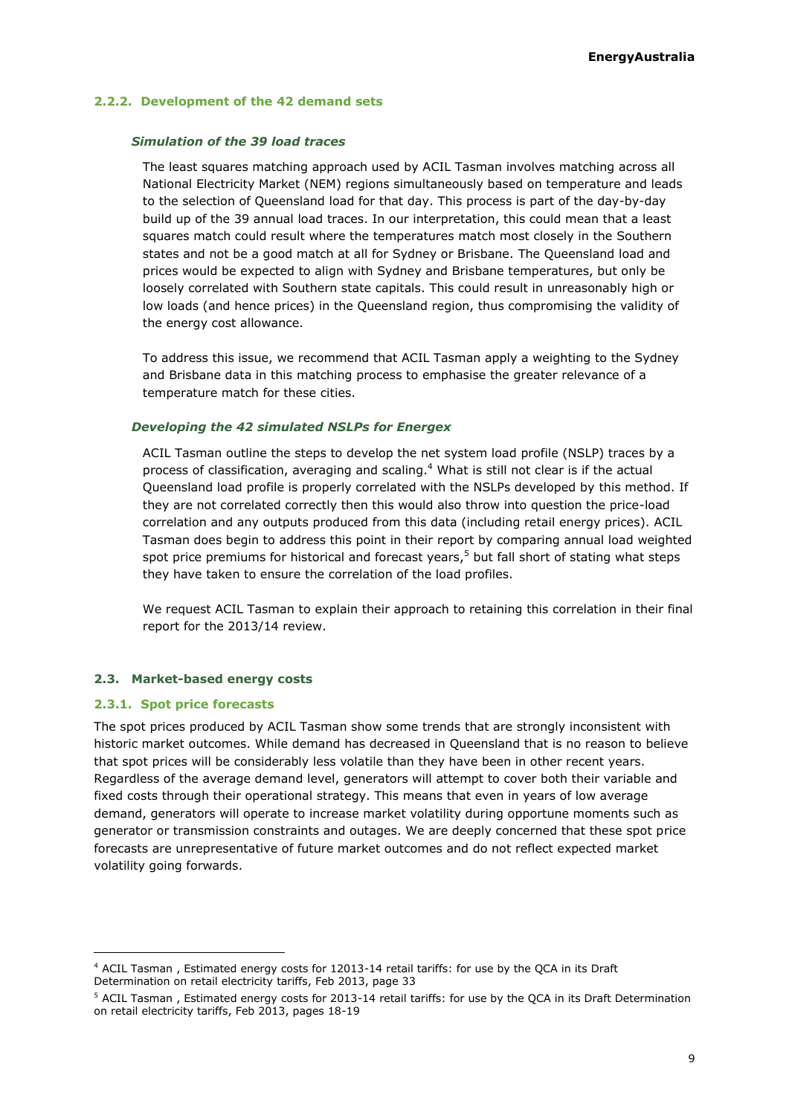#### **2.2.2. Development of the 42 demand sets**

#### *Simulation of the 39 load traces*

The least squares matching approach used by ACIL Tasman involves matching across all National Electricity Market (NEM) regions simultaneously based on temperature and leads to the selection of Queensland load for that day. This process is part of the day-by-day build up of the 39 annual load traces. In our interpretation, this could mean that a least squares match could result where the temperatures match most closely in the Southern states and not be a good match at all for Sydney or Brisbane. The Queensland load and prices would be expected to align with Sydney and Brisbane temperatures, but only be loosely correlated with Southern state capitals. This could result in unreasonably high or low loads (and hence prices) in the Queensland region, thus compromising the validity of the energy cost allowance.

To address this issue, we recommend that ACIL Tasman apply a weighting to the Sydney and Brisbane data in this matching process to emphasise the greater relevance of a temperature match for these cities.

#### *Developing the 42 simulated NSLPs for Energex*

ACIL Tasman outline the steps to develop the net system load profile (NSLP) traces by a process of classification, averaging and scaling.<sup>4</sup> What is still not clear is if the actual Queensland load profile is properly correlated with the NSLPs developed by this method. If they are not correlated correctly then this would also throw into question the price-load correlation and any outputs produced from this data (including retail energy prices). ACIL Tasman does begin to address this point in their report by comparing annual load weighted spot price premiums for historical and forecast years, $5$  but fall short of stating what steps they have taken to ensure the correlation of the load profiles.

We request ACIL Tasman to explain their approach to retaining this correlation in their final report for the 2013/14 review.

#### <span id="page-8-0"></span>**2.3. Market-based energy costs**

#### **2.3.1. Spot price forecasts**

ł

The spot prices produced by ACIL Tasman show some trends that are strongly inconsistent with historic market outcomes. While demand has decreased in Queensland that is no reason to believe that spot prices will be considerably less volatile than they have been in other recent years. Regardless of the average demand level, generators will attempt to cover both their variable and fixed costs through their operational strategy. This means that even in years of low average demand, generators will operate to increase market volatility during opportune moments such as generator or transmission constraints and outages. We are deeply concerned that these spot price forecasts are unrepresentative of future market outcomes and do not reflect expected market volatility going forwards.

<sup>4</sup> ACIL Tasman , Estimated energy costs for 12013-14 retail tariffs: for use by the QCA in its Draft Determination on retail electricity tariffs, Feb 2013, page 33

<sup>5</sup> ACIL Tasman , Estimated energy costs for 2013-14 retail tariffs: for use by the QCA in its Draft Determination on retail electricity tariffs, Feb 2013, pages 18-19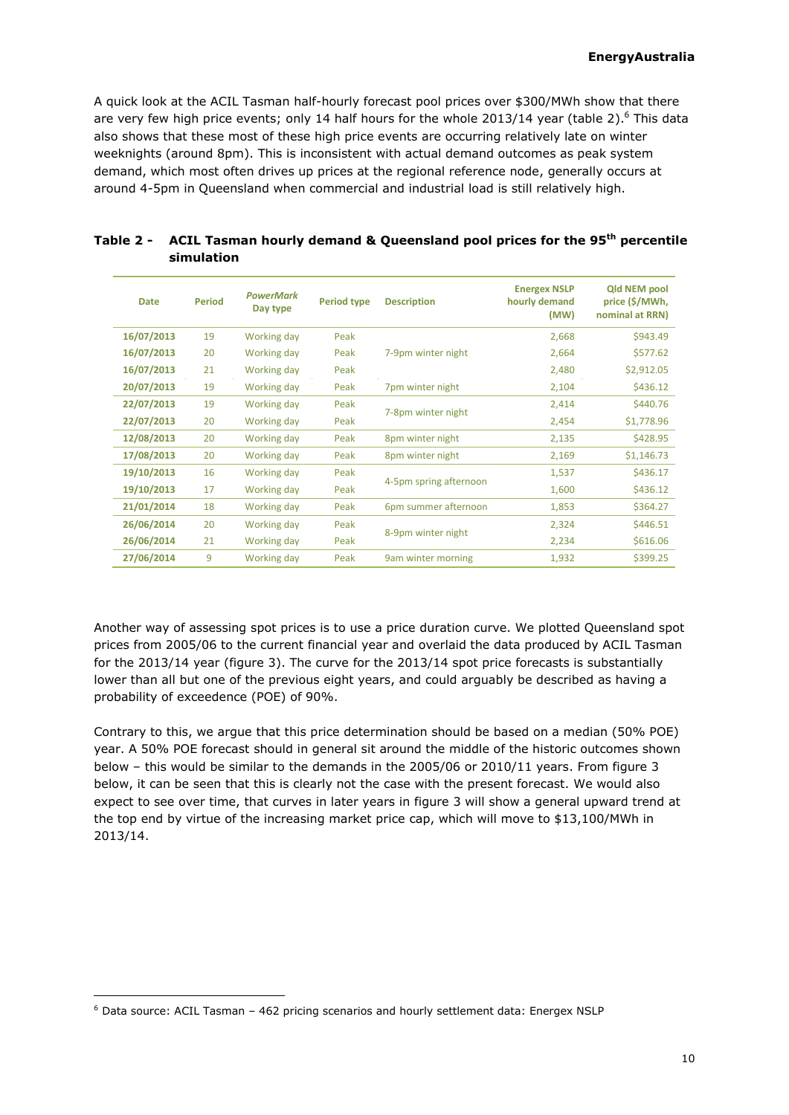A quick look at the ACIL Tasman half-hourly forecast pool prices over \$300/MWh show that there are very few high price events; only 14 half hours for the whole 2013/14 year (table 2).<sup>6</sup> This data also shows that these most of these high price events are occurring relatively late on winter weeknights (around 8pm). This is inconsistent with actual demand outcomes as peak system demand, which most often drives up prices at the regional reference node, generally occurs at around 4-5pm in Queensland when commercial and industrial load is still relatively high.

| <b>Date</b> | <b>Period</b> | <b>PowerMark</b><br>Day type | <b>Period type</b> | <b>Description</b>     | <b>Energex NSLP</b><br>hourly demand<br>(MW) | <b>Qld NEM pool</b><br>price (\$/MWh,<br>nominal at RRN) |
|-------------|---------------|------------------------------|--------------------|------------------------|----------------------------------------------|----------------------------------------------------------|
| 16/07/2013  | 19            | Working day                  | Peak               |                        | 2,668                                        | \$943.49                                                 |
| 16/07/2013  | 20            | Working day                  | Peak               | 7-9pm winter night     | 2,664                                        | \$577.62                                                 |
| 16/07/2013  | 21            | Working day                  | Peak               |                        | 2,480                                        | \$2,912.05                                               |
| 20/07/2013  | 19            | Working day                  | Peak               | 7pm winter night       | 2,104                                        | \$436.12                                                 |
| 22/07/2013  | 19            | Working day                  | Peak               | 7-8pm winter night     | 2,414                                        | \$440.76                                                 |
| 22/07/2013  | 20            | Working day                  | Peak               |                        | 2,454                                        | \$1,778.96                                               |
| 12/08/2013  | 20            | Working day                  | Peak               | 8pm winter night       | 2,135                                        | \$428.95                                                 |
| 17/08/2013  | 20            | Working day                  | Peak               | 8pm winter night       | 2,169                                        | \$1,146.73                                               |
| 19/10/2013  | 16            | Working day                  | Peak               | 4-5pm spring afternoon | 1,537                                        | \$436.17                                                 |
| 19/10/2013  | 17            | Working day                  | Peak               |                        | 1,600                                        | \$436.12                                                 |
| 21/01/2014  | 18            | Working day                  | Peak               | 6pm summer afternoon   | 1,853                                        | \$364.27                                                 |
| 26/06/2014  | 20            | Working day                  | Peak               |                        | 2,324                                        | \$446.51                                                 |
| 26/06/2014  | 21            | Working day                  | Peak               | 8-9pm winter night     | 2,234                                        | \$616.06                                                 |
| 27/06/2014  | 9             | Working day                  | Peak               | 9am winter morning     | 1,932                                        | \$399.25                                                 |

| Table 2 - ACIL Tasman hourly demand & Queensland pool prices for the 95 <sup>th</sup> percentile |
|--------------------------------------------------------------------------------------------------|
| simulation                                                                                       |

Another way of assessing spot prices is to use a price duration curve. We plotted Queensland spot prices from 2005/06 to the current financial year and overlaid the data produced by ACIL Tasman for the 2013/14 year (figure 3). The curve for the 2013/14 spot price forecasts is substantially lower than all but one of the previous eight years, and could arguably be described as having a probability of exceedence (POE) of 90%.

Contrary to this, we argue that this price determination should be based on a median (50% POE) year. A 50% POE forecast should in general sit around the middle of the historic outcomes shown below – this would be similar to the demands in the 2005/06 or 2010/11 years. From figure 3 below, it can be seen that this is clearly not the case with the present forecast. We would also expect to see over time, that curves in later years in figure 3 will show a general upward trend at the top end by virtue of the increasing market price cap, which will move to \$13,100/MWh in 2013/14.

 $6$  Data source: ACIL Tasman – 462 pricing scenarios and hourly settlement data: Energex NSLP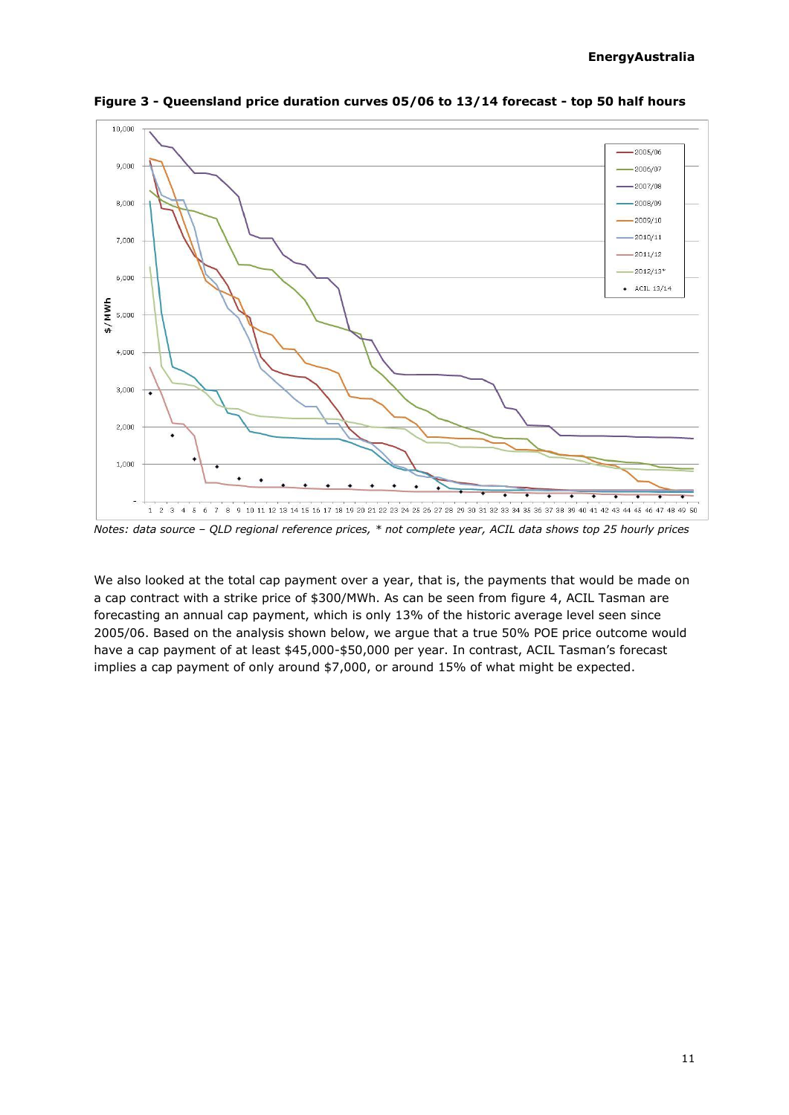

**Figure 3 - Queensland price duration curves 05/06 to 13/14 forecast - top 50 half hours**

*Notes: data source – QLD regional reference prices, \* not complete year, ACIL data shows top 25 hourly prices*

We also looked at the total cap payment over a year, that is, the payments that would be made on a cap contract with a strike price of \$300/MWh. As can be seen from figure 4, ACIL Tasman are forecasting an annual cap payment, which is only 13% of the historic average level seen since 2005/06. Based on the analysis shown below, we argue that a true 50% POE price outcome would have a cap payment of at least \$45,000-\$50,000 per year. In contrast, ACIL Tasman's forecast implies a cap payment of only around \$7,000, or around 15% of what might be expected.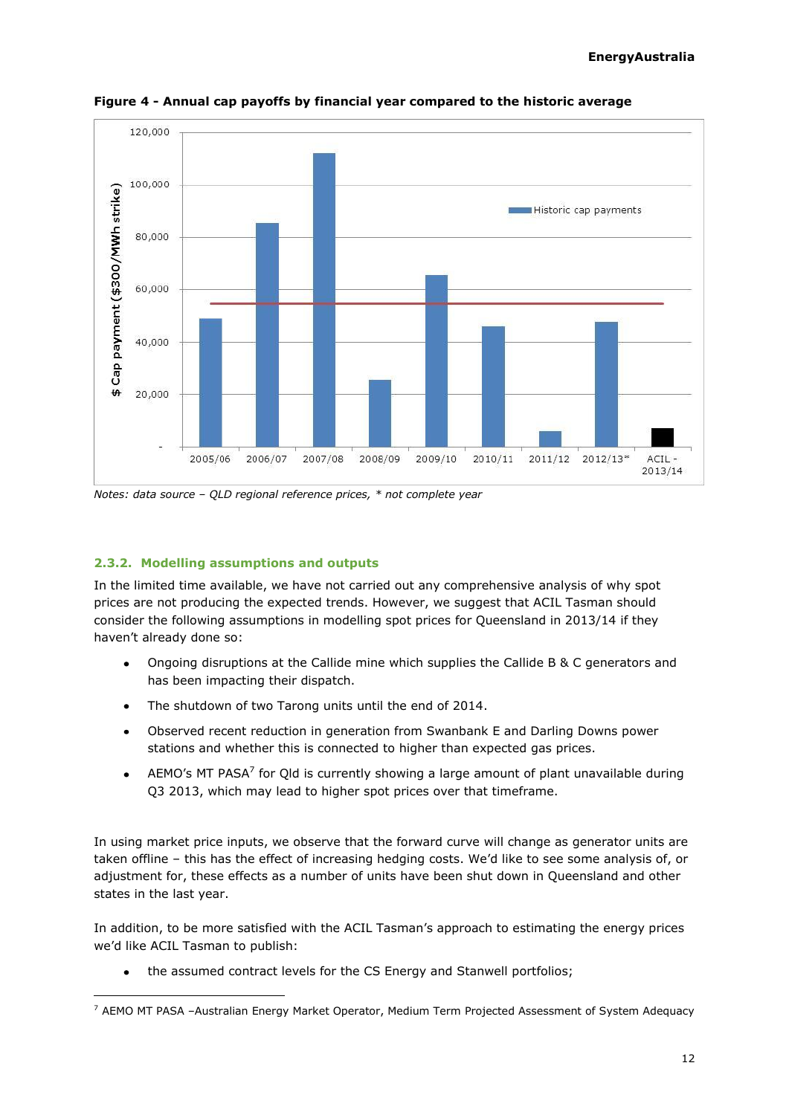

**Figure 4 - Annual cap payoffs by financial year compared to the historic average**

*Notes: data source – QLD regional reference prices, \* not complete year*

### **2.3.2. Modelling assumptions and outputs**

ł

In the limited time available, we have not carried out any comprehensive analysis of why spot prices are not producing the expected trends. However, we suggest that ACIL Tasman should consider the following assumptions in modelling spot prices for Queensland in 2013/14 if they haven't already done so:

- Ongoing disruptions at the Callide mine which supplies the Callide B & C generators and has been impacting their dispatch.
- The shutdown of two Tarong units until the end of 2014.
- Observed recent reduction in generation from Swanbank E and Darling Downs power stations and whether this is connected to higher than expected gas prices.
- AEMO's MT PASA<sup>7</sup> for Qld is currently showing a large amount of plant unavailable during Q3 2013, which may lead to higher spot prices over that timeframe.

In using market price inputs, we observe that the forward curve will change as generator units are taken offline – this has the effect of increasing hedging costs. We'd like to see some analysis of, or adjustment for, these effects as a number of units have been shut down in Queensland and other states in the last year.

In addition, to be more satisfied with the ACIL Tasman's approach to estimating the energy prices we'd like ACIL Tasman to publish:

the assumed contract levels for the CS Energy and Stanwell portfolios;

 $7$  AEMO MT PASA -Australian Energy Market Operator, Medium Term Projected Assessment of System Adequacy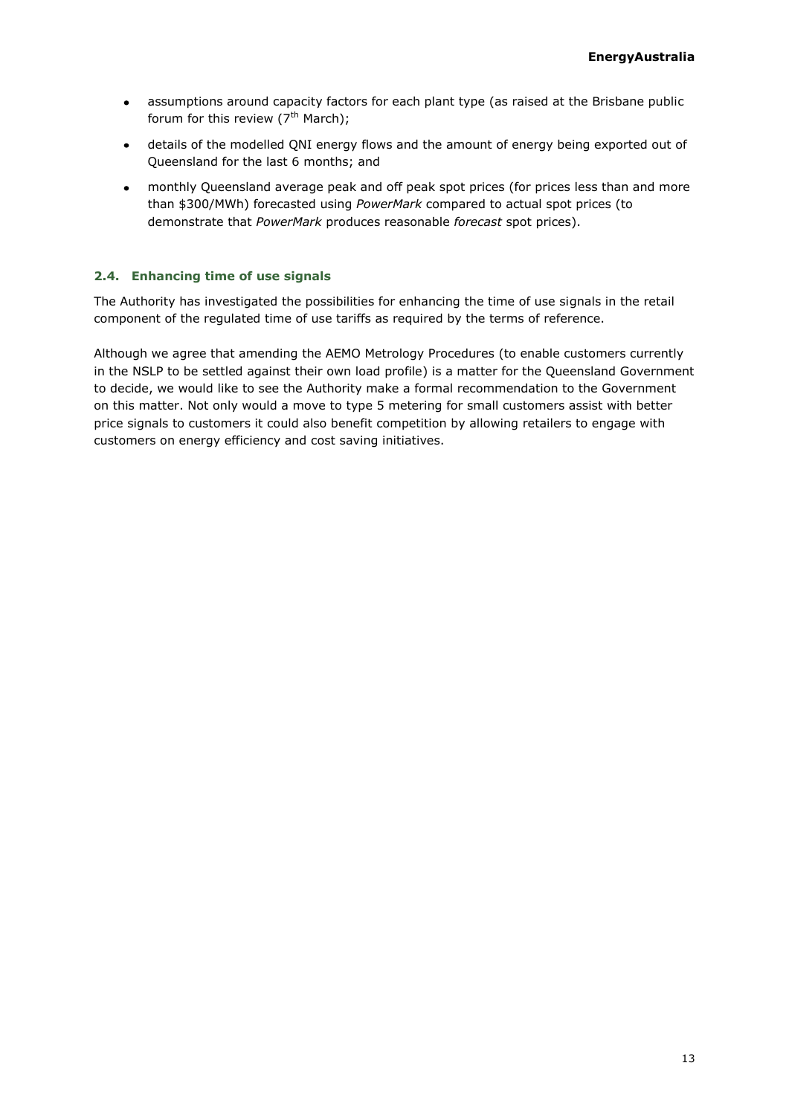- assumptions around capacity factors for each plant type (as raised at the Brisbane public  $\bullet$ forum for this review  $(7<sup>th</sup> March)$ ;
- details of the modelled QNI energy flows and the amount of energy being exported out of  $\bullet$ Queensland for the last 6 months; and
- monthly Queensland average peak and off peak spot prices (for prices less than and more than \$300/MWh) forecasted using *PowerMark* compared to actual spot prices (to demonstrate that *PowerMark* produces reasonable *forecast* spot prices).

### <span id="page-12-0"></span>**2.4. Enhancing time of use signals**

The Authority has investigated the possibilities for enhancing the time of use signals in the retail component of the regulated time of use tariffs as required by the terms of reference.

Although we agree that amending the AEMO Metrology Procedures (to enable customers currently in the NSLP to be settled against their own load profile) is a matter for the Queensland Government to decide, we would like to see the Authority make a formal recommendation to the Government on this matter. Not only would a move to type 5 metering for small customers assist with better price signals to customers it could also benefit competition by allowing retailers to engage with customers on energy efficiency and cost saving initiatives.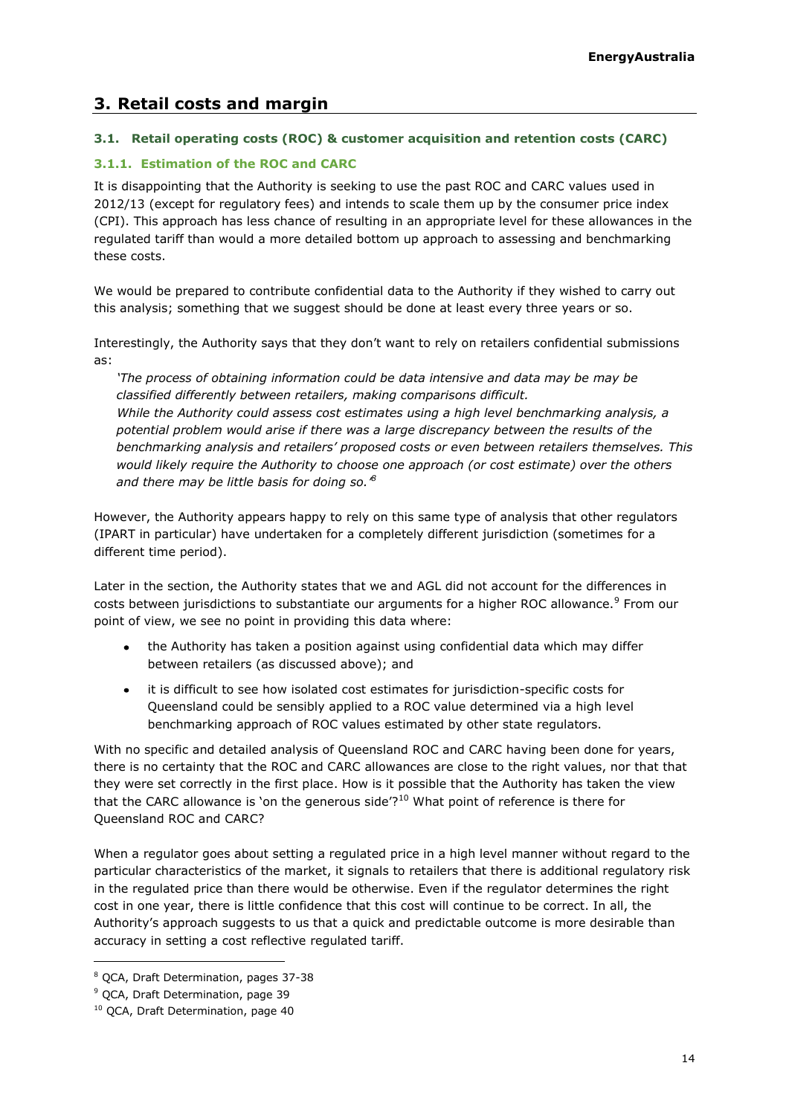# <span id="page-13-0"></span>**3. Retail costs and margin**

# <span id="page-13-1"></span>**3.1. Retail operating costs (ROC) & customer acquisition and retention costs (CARC)**

# **3.1.1. Estimation of the ROC and CARC**

It is disappointing that the Authority is seeking to use the past ROC and CARC values used in 2012/13 (except for regulatory fees) and intends to scale them up by the consumer price index (CPI). This approach has less chance of resulting in an appropriate level for these allowances in the regulated tariff than would a more detailed bottom up approach to assessing and benchmarking these costs.

We would be prepared to contribute confidential data to the Authority if they wished to carry out this analysis; something that we suggest should be done at least every three years or so.

Interestingly, the Authority says that they don't want to rely on retailers confidential submissions as:

*'The process of obtaining information could be data intensive and data may be may be classified differently between retailers, making comparisons difficult. While the Authority could assess cost estimates using a high level benchmarking analysis, a potential problem would arise if there was a large discrepancy between the results of the benchmarking analysis and retailers' proposed costs or even between retailers themselves. This would likely require the Authority to choose one approach (or cost estimate) over the others and there may be little basis for doing so.' 8*

However, the Authority appears happy to rely on this same type of analysis that other regulators (IPART in particular) have undertaken for a completely different jurisdiction (sometimes for a different time period).

Later in the section, the Authority states that we and AGL did not account for the differences in costs between jurisdictions to substantiate our arguments for a higher ROC allowance.<sup>9</sup> From our point of view, we see no point in providing this data where:

- the Authority has taken a position against using confidential data which may differ between retailers (as discussed above); and
- it is difficult to see how isolated cost estimates for jurisdiction-specific costs for  $\bullet$ Queensland could be sensibly applied to a ROC value determined via a high level benchmarking approach of ROC values estimated by other state regulators.

With no specific and detailed analysis of Queensland ROC and CARC having been done for years, there is no certainty that the ROC and CARC allowances are close to the right values, nor that that they were set correctly in the first place. How is it possible that the Authority has taken the view that the CARC allowance is 'on the generous side'? $10$  What point of reference is there for Queensland ROC and CARC?

When a regulator goes about setting a regulated price in a high level manner without regard to the particular characteristics of the market, it signals to retailers that there is additional regulatory risk in the regulated price than there would be otherwise. Even if the regulator determines the right cost in one year, there is little confidence that this cost will continue to be correct. In all, the Authority's approach suggests to us that a quick and predictable outcome is more desirable than accuracy in setting a cost reflective regulated tariff.

<sup>8</sup> QCA, Draft Determination, pages 37-38

<sup>9</sup> QCA, Draft Determination, page 39

<sup>&</sup>lt;sup>10</sup> QCA, Draft Determination, page 40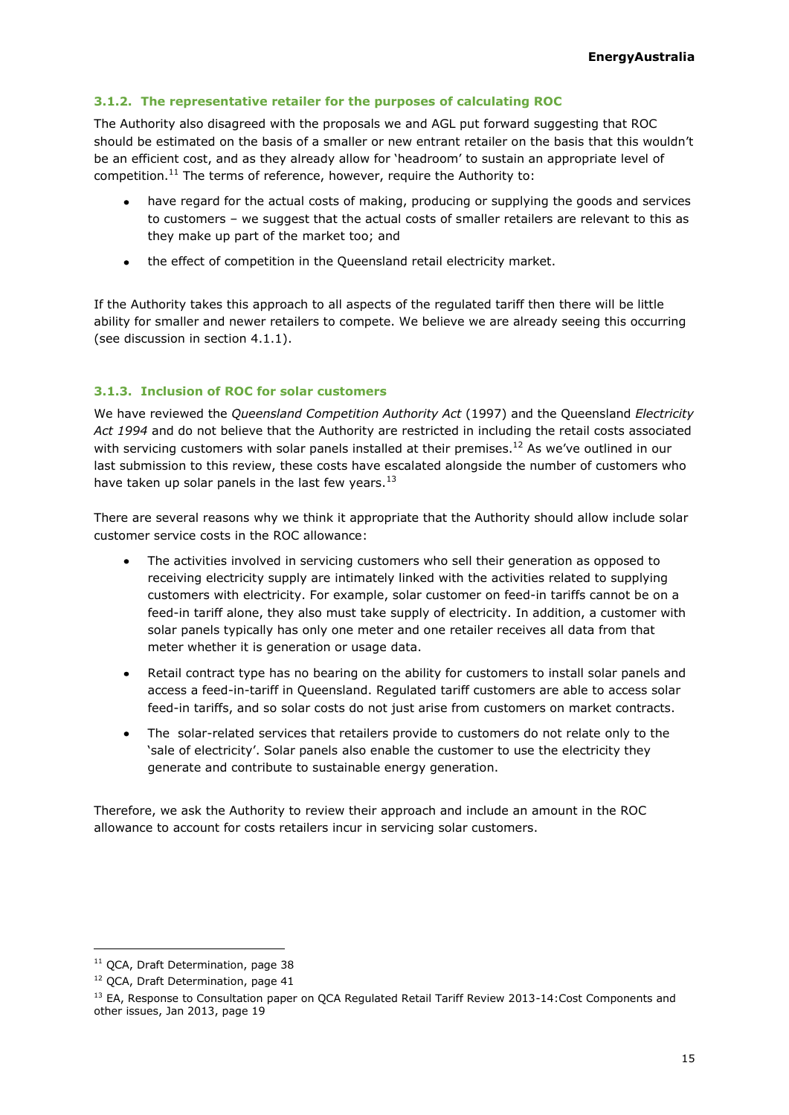### **3.1.2. The representative retailer for the purposes of calculating ROC**

The Authority also disagreed with the proposals we and AGL put forward suggesting that ROC should be estimated on the basis of a smaller or new entrant retailer on the basis that this wouldn't be an efficient cost, and as they already allow for 'headroom' to sustain an appropriate level of competition.<sup>11</sup> The terms of reference, however, require the Authority to:

- have regard for the actual costs of making, producing or supplying the goods and services to customers – we suggest that the actual costs of smaller retailers are relevant to this as they make up part of the market too; and
- the effect of competition in the Queensland retail electricity market.  $\bullet$

If the Authority takes this approach to all aspects of the regulated tariff then there will be little ability for smaller and newer retailers to compete. We believe we are already seeing this occurring (see discussion in section [4.1.1\)](#page-16-2).

### **3.1.3. Inclusion of ROC for solar customers**

We have reviewed the *Queensland Competition Authority Act* (1997) and the Queensland *Electricity Act 1994* and do not believe that the Authority are restricted in including the retail costs associated with servicing customers with solar panels installed at their premises.<sup>12</sup> As we've outlined in our last submission to this review, these costs have escalated alongside the number of customers who have taken up solar panels in the last few years.  $13$ 

There are several reasons why we think it appropriate that the Authority should allow include solar customer service costs in the ROC allowance:

- The activities involved in servicing customers who sell their generation as opposed to receiving electricity supply are intimately linked with the activities related to supplying customers with electricity. For example, solar customer on feed-in tariffs cannot be on a feed-in tariff alone, they also must take supply of electricity. In addition, a customer with solar panels typically has only one meter and one retailer receives all data from that meter whether it is generation or usage data.
- Retail contract type has no bearing on the ability for customers to install solar panels and access a feed-in-tariff in Queensland. Regulated tariff customers are able to access solar feed-in tariffs, and so solar costs do not just arise from customers on market contracts.
- The solar-related services that retailers provide to customers do not relate only to the 'sale of electricity'. Solar panels also enable the customer to use the electricity they generate and contribute to sustainable energy generation.

Therefore, we ask the Authority to review their approach and include an amount in the ROC allowance to account for costs retailers incur in servicing solar customers.

<sup>&</sup>lt;sup>11</sup> QCA, Draft Determination, page 38

<sup>&</sup>lt;sup>12</sup> QCA, Draft Determination, page 41

<sup>&</sup>lt;sup>13</sup> EA, Response to Consultation paper on QCA Regulated Retail Tariff Review 2013-14:Cost Components and other issues, Jan 2013, page 19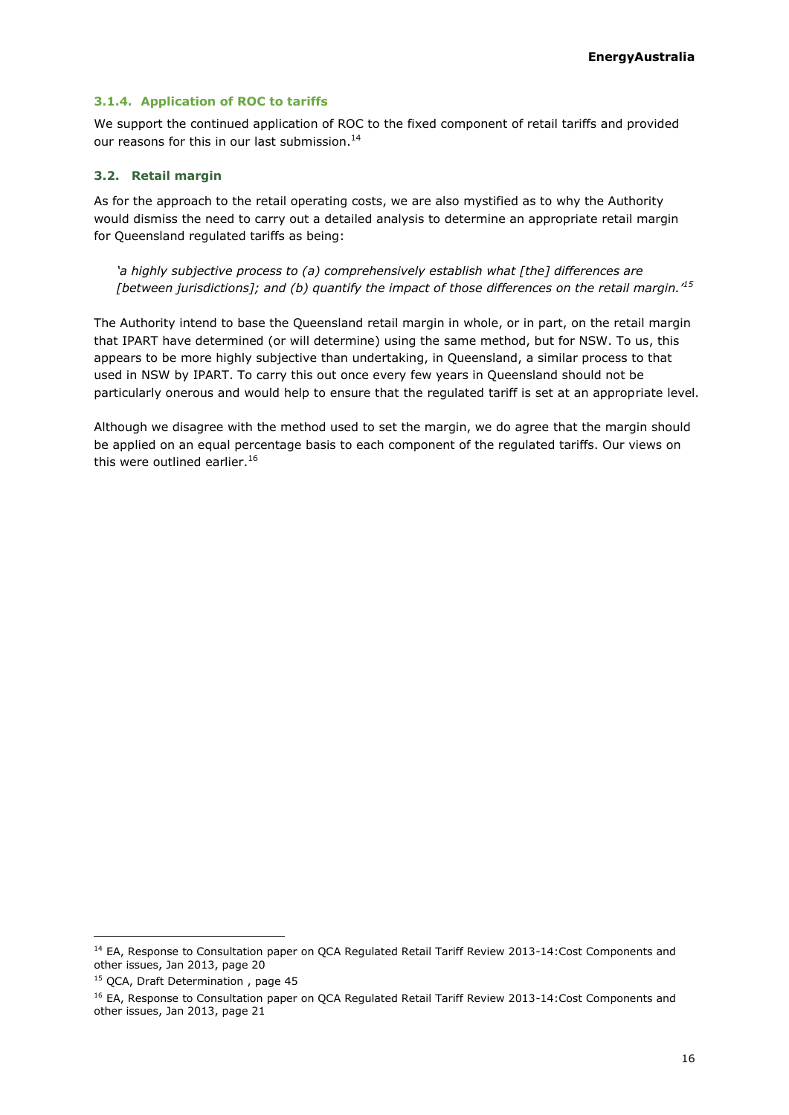### **3.1.4. Application of ROC to tariffs**

We support the continued application of ROC to the fixed component of retail tariffs and provided our reasons for this in our last submission. $^{14}$ 

### <span id="page-15-0"></span>**3.2. Retail margin**

As for the approach to the retail operating costs, we are also mystified as to why the Authority would dismiss the need to carry out a detailed analysis to determine an appropriate retail margin for Queensland regulated tariffs as being:

*'a highly subjective process to (a) comprehensively establish what [the] differences are [between jurisdictions]; and (b) quantify the impact of those differences on the retail margin.'<sup>15</sup>*

The Authority intend to base the Queensland retail margin in whole, or in part, on the retail margin that IPART have determined (or will determine) using the same method, but for NSW. To us, this appears to be more highly subjective than undertaking, in Queensland, a similar process to that used in NSW by IPART. To carry this out once every few years in Queensland should not be particularly onerous and would help to ensure that the regulated tariff is set at an appropriate level.

Although we disagree with the method used to set the margin, we do agree that the margin should be applied on an equal percentage basis to each component of the regulated tariffs. Our views on this were outlined earlier.<sup>16</sup>

<sup>&</sup>lt;sup>14</sup> EA, Response to Consultation paper on QCA Regulated Retail Tariff Review 2013-14:Cost Components and other issues, Jan 2013, page 20

<sup>&</sup>lt;sup>15</sup> QCA, Draft Determination, page 45

<sup>&</sup>lt;sup>16</sup> EA, Response to Consultation paper on QCA Regulated Retail Tariff Review 2013-14:Cost Components and other issues, Jan 2013, page 21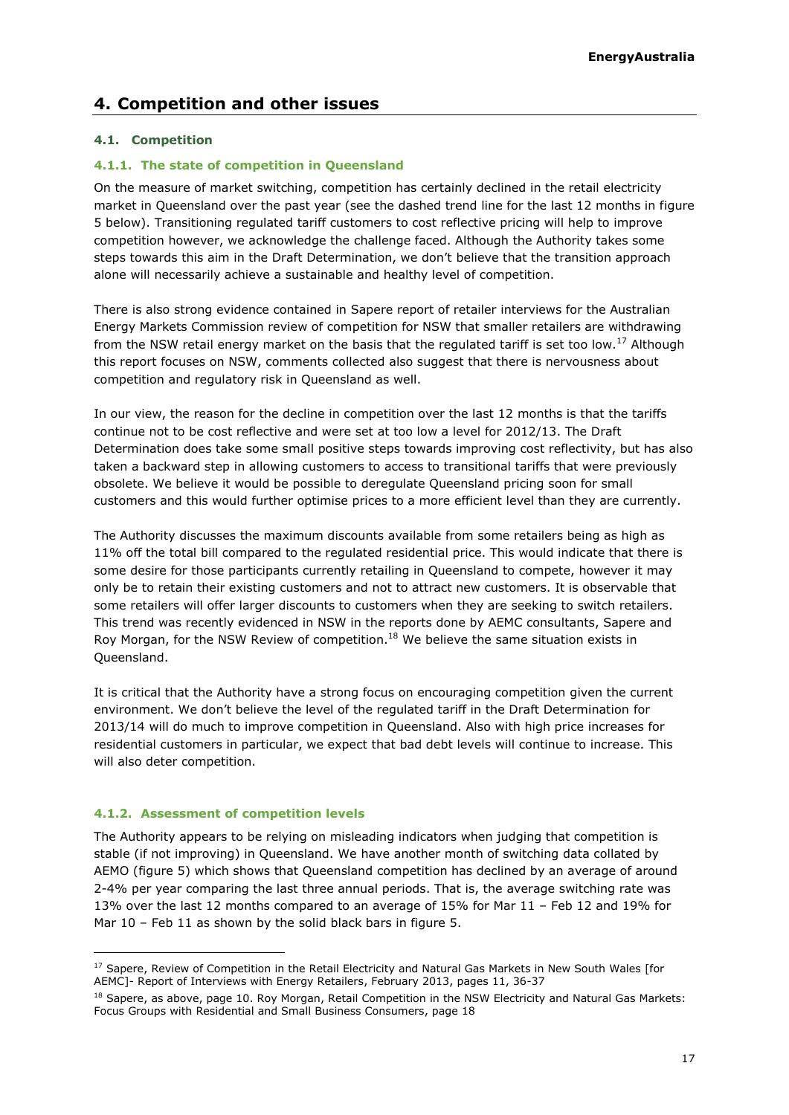# <span id="page-16-0"></span>**4. Competition and other issues**

### <span id="page-16-1"></span>**4.1. Competition**

### <span id="page-16-2"></span>**4.1.1. The state of competition in Queensland**

On the measure of market switching, competition has certainly declined in the retail electricity market in Queensland over the past year (see the dashed trend line for the last 12 months in figure 5 below). Transitioning regulated tariff customers to cost reflective pricing will help to improve competition however, we acknowledge the challenge faced. Although the Authority takes some steps towards this aim in the Draft Determination, we don't believe that the transition approach alone will necessarily achieve a sustainable and healthy level of competition.

There is also strong evidence contained in Sapere report of retailer interviews for the Australian Energy Markets Commission review of competition for NSW that smaller retailers are withdrawing from the NSW retail energy market on the basis that the regulated tariff is set too low.<sup>17</sup> Although this report focuses on NSW, comments collected also suggest that there is nervousness about competition and regulatory risk in Queensland as well.

In our view, the reason for the decline in competition over the last 12 months is that the tariffs continue not to be cost reflective and were set at too low a level for 2012/13. The Draft Determination does take some small positive steps towards improving cost reflectivity, but has also taken a backward step in allowing customers to access to transitional tariffs that were previously obsolete. We believe it would be possible to deregulate Queensland pricing soon for small customers and this would further optimise prices to a more efficient level than they are currently.

The Authority discusses the maximum discounts available from some retailers being as high as 11% off the total bill compared to the regulated residential price. This would indicate that there is some desire for those participants currently retailing in Queensland to compete, however it may only be to retain their existing customers and not to attract new customers. It is observable that some retailers will offer larger discounts to customers when they are seeking to switch retailers. This trend was recently evidenced in NSW in the reports done by AEMC consultants, Sapere and Roy Morgan, for the NSW Review of competition.<sup>18</sup> We believe the same situation exists in Queensland.

It is critical that the Authority have a strong focus on encouraging competition given the current environment. We don't believe the level of the regulated tariff in the Draft Determination for 2013/14 will do much to improve competition in Queensland. Also with high price increases for residential customers in particular, we expect that bad debt levels will continue to increase. This will also deter competition.

### **4.1.2. Assessment of competition levels**

ł

The Authority appears to be relying on misleading indicators when judging that competition is stable (if not improving) in Queensland. We have another month of switching data collated by AEMO (figure 5) which shows that Queensland competition has declined by an average of around 2-4% per year comparing the last three annual periods. That is, the average switching rate was 13% over the last 12 months compared to an average of 15% for Mar 11 – Feb 12 and 19% for Mar 10 – Feb 11 as shown by the solid black bars in figure 5.

<sup>&</sup>lt;sup>17</sup> Sapere, Review of Competition in the Retail Electricity and Natural Gas Markets in New South Wales [for AEMC]- Report of Interviews with Energy Retailers, February 2013, pages 11, 36-37

<sup>&</sup>lt;sup>18</sup> Sapere, as above, page 10. Roy Morgan, Retail Competition in the NSW Electricity and Natural Gas Markets: Focus Groups with Residential and Small Business Consumers, page 18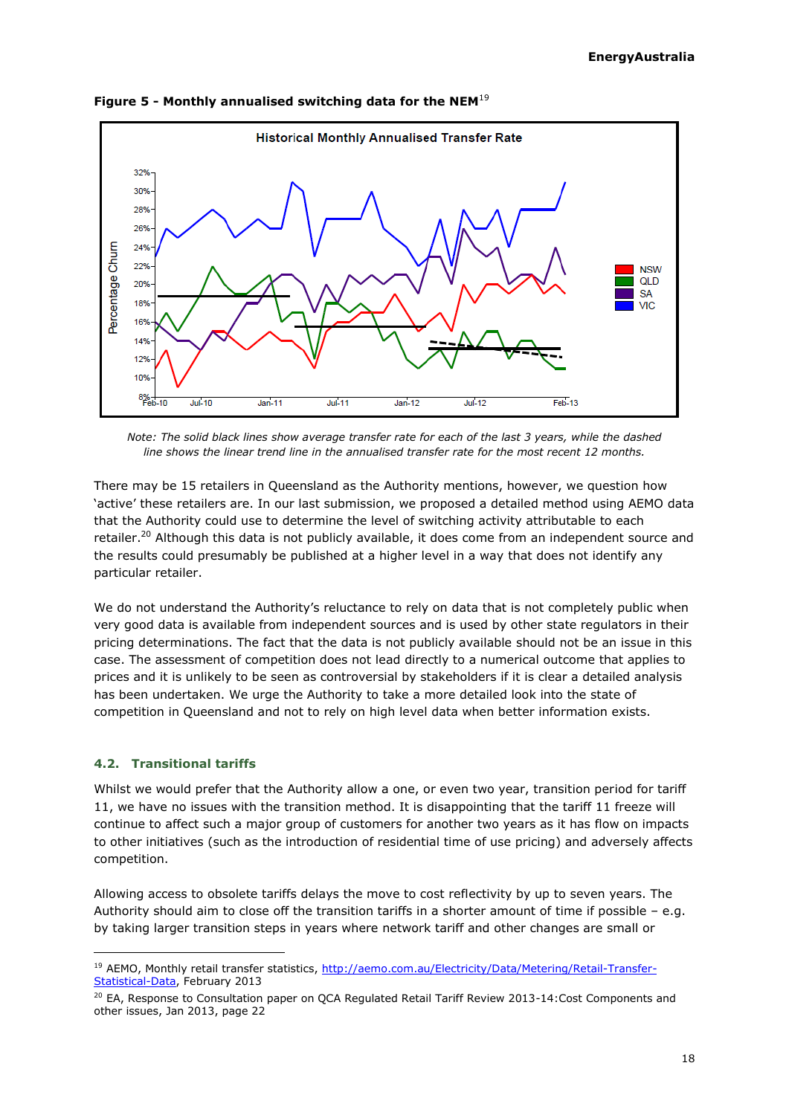

**Figure 5 - Monthly annualised switching data for the NEM**<sup>19</sup>

*Note: The solid black lines show average transfer rate for each of the last 3 years, while the dashed line shows the linear trend line in the annualised transfer rate for the most recent 12 months.*

There may be 15 retailers in Queensland as the Authority mentions, however, we question how 'active' these retailers are. In our last submission, we proposed a detailed method using AEMO data that the Authority could use to determine the level of switching activity attributable to each retailer.<sup>20</sup> Although this data is not publicly available, it does come from an independent source and the results could presumably be published at a higher level in a way that does not identify any particular retailer.

We do not understand the Authority's reluctance to rely on data that is not completely public when very good data is available from independent sources and is used by other state regulators in their pricing determinations. The fact that the data is not publicly available should not be an issue in this case. The assessment of competition does not lead directly to a numerical outcome that applies to prices and it is unlikely to be seen as controversial by stakeholders if it is clear a detailed analysis has been undertaken. We urge the Authority to take a more detailed look into the state of competition in Queensland and not to rely on high level data when better information exists.

### <span id="page-17-0"></span>**4.2. Transitional tariffs**

ł

Whilst we would prefer that the Authority allow a one, or even two year, transition period for tariff 11, we have no issues with the transition method. It is disappointing that the tariff 11 freeze will continue to affect such a major group of customers for another two years as it has flow on impacts to other initiatives (such as the introduction of residential time of use pricing) and adversely affects competition.

Allowing access to obsolete tariffs delays the move to cost reflectivity by up to seven years. The Authority should aim to close off the transition tariffs in a shorter amount of time if possible – e.g. by taking larger transition steps in years where network tariff and other changes are small or

<sup>&</sup>lt;sup>19</sup> AEMO, Monthly retail transfer statistics, [http://aemo.com.au/Electricity/Data/Metering/Retail-Transfer-](http://aemo.com.au/Electricity/Data/Metering/Retail-Transfer-Statistical-Data)[Statistical-Data,](http://aemo.com.au/Electricity/Data/Metering/Retail-Transfer-Statistical-Data) February 2013

<sup>&</sup>lt;sup>20</sup> EA, Response to Consultation paper on QCA Regulated Retail Tariff Review 2013-14:Cost Components and other issues, Jan 2013, page 22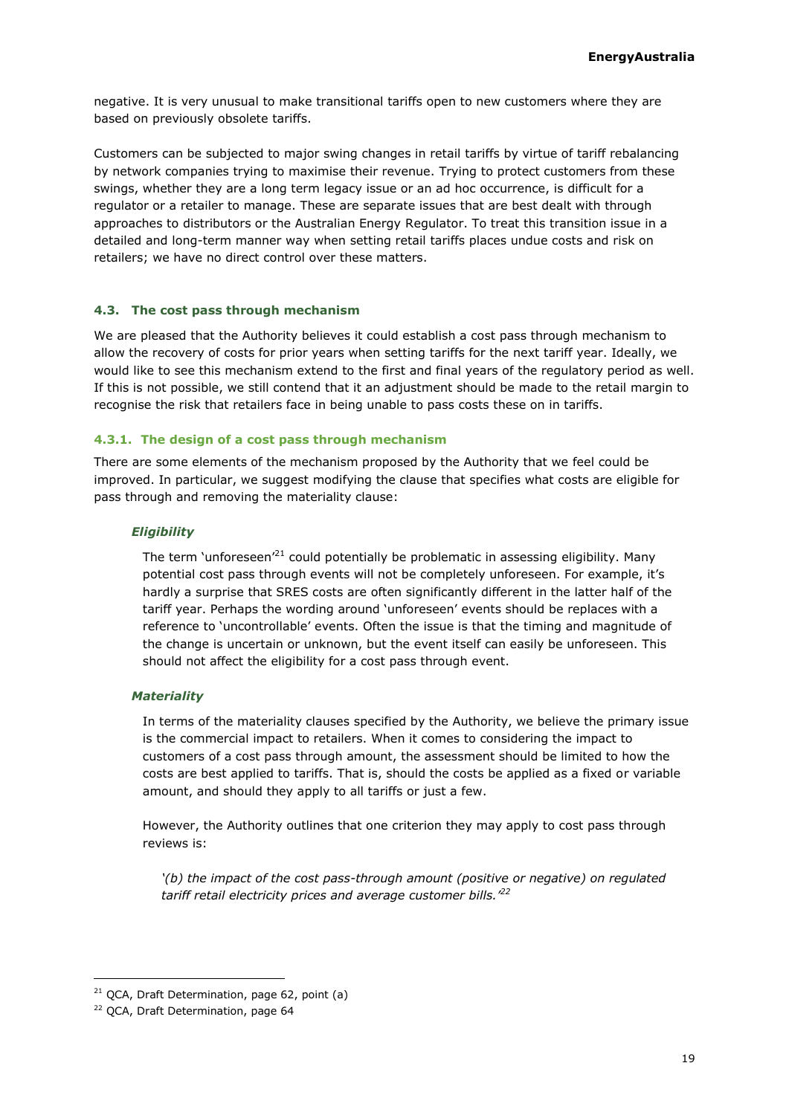negative. It is very unusual to make transitional tariffs open to new customers where they are based on previously obsolete tariffs.

Customers can be subjected to major swing changes in retail tariffs by virtue of tariff rebalancing by network companies trying to maximise their revenue. Trying to protect customers from these swings, whether they are a long term legacy issue or an ad hoc occurrence, is difficult for a regulator or a retailer to manage. These are separate issues that are best dealt with through approaches to distributors or the Australian Energy Regulator. To treat this transition issue in a detailed and long-term manner way when setting retail tariffs places undue costs and risk on retailers; we have no direct control over these matters.

### <span id="page-18-0"></span>**4.3. The cost pass through mechanism**

We are pleased that the Authority believes it could establish a cost pass through mechanism to allow the recovery of costs for prior years when setting tariffs for the next tariff year. Ideally, we would like to see this mechanism extend to the first and final years of the regulatory period as well. If this is not possible, we still contend that it an adjustment should be made to the retail margin to recognise the risk that retailers face in being unable to pass costs these on in tariffs.

### **4.3.1. The design of a cost pass through mechanism**

There are some elements of the mechanism proposed by the Authority that we feel could be improved. In particular, we suggest modifying the clause that specifies what costs are eligible for pass through and removing the materiality clause:

### *Eligibility*

The term 'unforeseen'<sup>21</sup> could potentially be problematic in assessing eligibility. Many potential cost pass through events will not be completely unforeseen. For example, it's hardly a surprise that SRES costs are often significantly different in the latter half of the tariff year. Perhaps the wording around 'unforeseen' events should be replaces with a reference to 'uncontrollable' events. Often the issue is that the timing and magnitude of the change is uncertain or unknown, but the event itself can easily be unforeseen. This should not affect the eligibility for a cost pass through event.

### *Materiality*

In terms of the materiality clauses specified by the Authority, we believe the primary issue is the commercial impact to retailers. When it comes to considering the impact to customers of a cost pass through amount, the assessment should be limited to how the costs are best applied to tariffs. That is, should the costs be applied as a fixed or variable amount, and should they apply to all tariffs or just a few.

However, the Authority outlines that one criterion they may apply to cost pass through reviews is:

*'(b) the impact of the cost pass-through amount (positive or negative) on regulated tariff retail electricity prices and average customer bills.'<sup>22</sup>*

 $21$  QCA, Draft Determination, page 62, point (a)

<sup>&</sup>lt;sup>22</sup> QCA, Draft Determination, page 64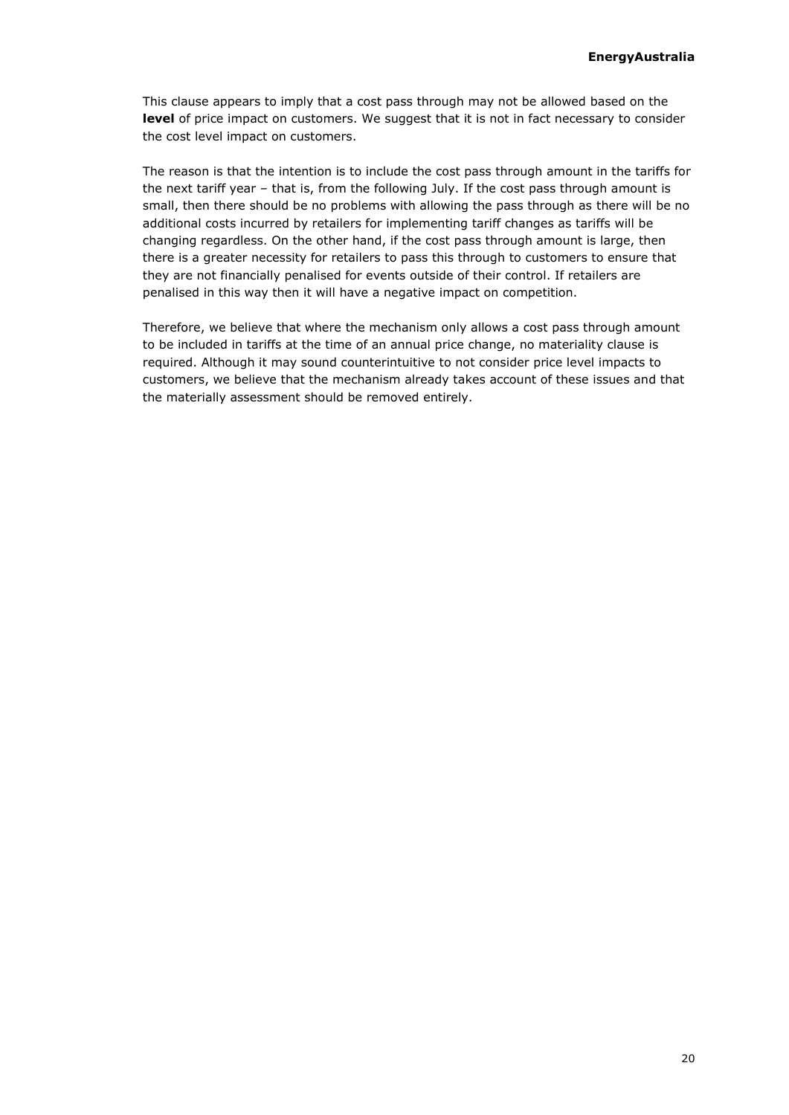This clause appears to imply that a cost pass through may not be allowed based on the **level** of price impact on customers. We suggest that it is not in fact necessary to consider the cost level impact on customers.

The reason is that the intention is to include the cost pass through amount in the tariffs for the next tariff year – that is, from the following July. If the cost pass through amount is small, then there should be no problems with allowing the pass through as there will be no additional costs incurred by retailers for implementing tariff changes as tariffs will be changing regardless. On the other hand, if the cost pass through amount is large, then there is a greater necessity for retailers to pass this through to customers to ensure that they are not financially penalised for events outside of their control. If retailers are penalised in this way then it will have a negative impact on competition.

Therefore, we believe that where the mechanism only allows a cost pass through amount to be included in tariffs at the time of an annual price change, no materiality clause is required. Although it may sound counterintuitive to not consider price level impacts to customers, we believe that the mechanism already takes account of these issues and that the materially assessment should be removed entirely.